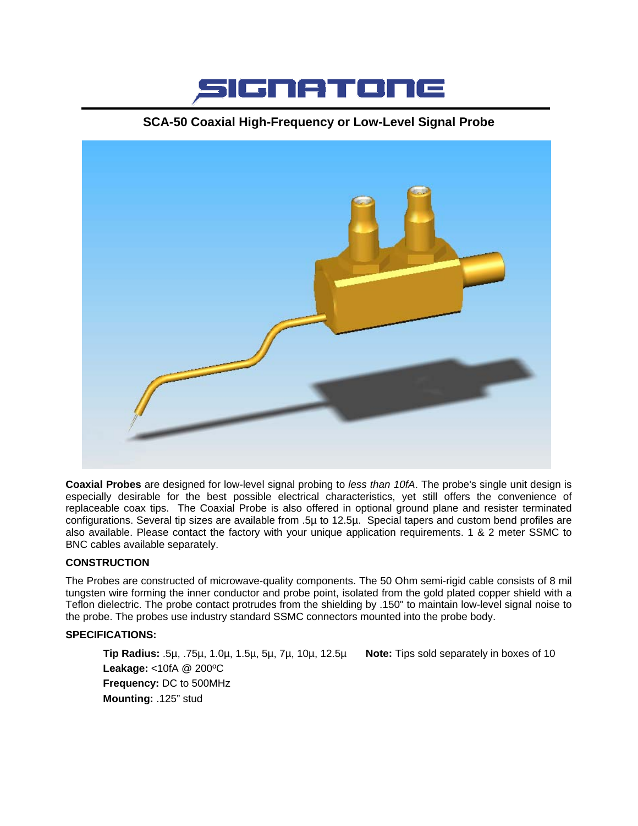

# **SCA-50 Coaxial High-Frequency or Low-Level Signal Probe**



**Coaxial Probes** are designed for low-level signal probing to *less than 10fA*. The probe's single unit design is especially desirable for the best possible electrical characteristics, yet still offers the convenience of replaceable coax tips. The Coaxial Probe is also offered in optional ground plane and resister terminated configurations. Several tip sizes are available from .5µ to 12.5µ. Special tapers and custom bend profiles are also available. Please contact the factory with your unique application requirements. 1 & 2 meter SSMC to BNC cables available separately.

### **CONSTRUCTION**

The Probes are constructed of microwave-quality components. The 50 Ohm semi-rigid cable consists of 8 mil tungsten wire forming the inner conductor and probe point, isolated from the gold plated copper shield with a Teflon dielectric. The probe contact protrudes from the shielding by .150" to maintain low-level signal noise to the probe. The probes use industry standard SSMC connectors mounted into the probe body.

### **SPECIFICATIONS:**

 **Tip Radius:** .5µ, .75µ, 1.0µ, 1.5µ, 5µ, 7µ, 10µ, 12.5µ **Note:** Tips sold separately in boxes of 10 **Leakage:** <10fA @ 200ºC **Frequency:** DC to 500MHz **Mounting:** .125" stud